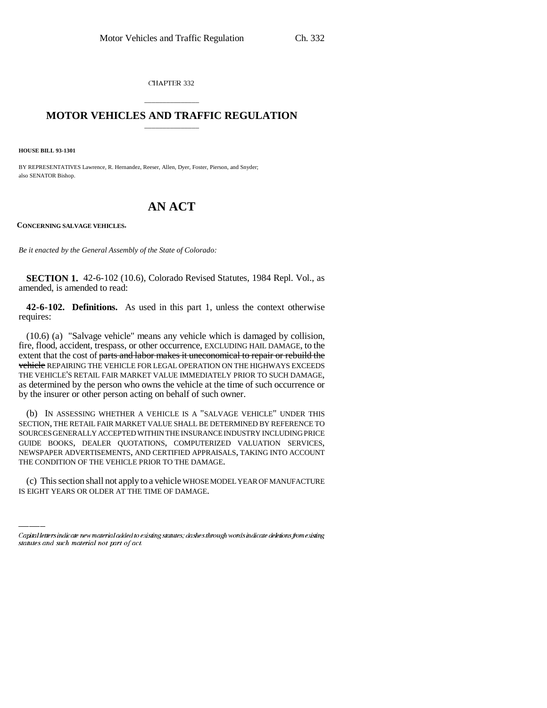CHAPTER 332

## \_\_\_\_\_\_\_\_\_\_\_\_\_\_\_ **MOTOR VEHICLES AND TRAFFIC REGULATION** \_\_\_\_\_\_\_\_\_\_\_\_\_\_\_

**HOUSE BILL 93-1301**

BY REPRESENTATIVES Lawrence, R. Hernandez, Reeser, Allen, Dyer, Foster, Pierson, and Snyder; also SENATOR Bishop.

## **AN ACT**

**CONCERNING SALVAGE VEHICLES.**

*Be it enacted by the General Assembly of the State of Colorado:*

**SECTION 1.** 42-6-102 (10.6), Colorado Revised Statutes, 1984 Repl. Vol., as amended, is amended to read:

**42-6-102. Definitions.** As used in this part 1, unless the context otherwise requires:

(10.6) (a) "Salvage vehicle" means any vehicle which is damaged by collision, fire, flood, accident, trespass, or other occurrence, EXCLUDING HAIL DAMAGE, to the extent that the cost of parts and labor makes it uneconomical to repair or rebuild the vehicle REPAIRING THE VEHICLE FOR LEGAL OPERATION ON THE HIGHWAYS EXCEEDS THE VEHICLE'S RETAIL FAIR MARKET VALUE IMMEDIATELY PRIOR TO SUCH DAMAGE, as determined by the person who owns the vehicle at the time of such occurrence or by the insurer or other person acting on behalf of such owner.

THE CONDITION OF THE VEHICLE PRIOR TO THE DAMAGE. (b) IN ASSESSING WHETHER A VEHICLE IS A "SALVAGE VEHICLE" UNDER THIS SECTION, THE RETAIL FAIR MARKET VALUE SHALL BE DETERMINED BY REFERENCE TO SOURCES GENERALLY ACCEPTED WITHIN THE INSURANCE INDUSTRY INCLUDING PRICE GUIDE BOOKS, DEALER QUOTATIONS, COMPUTERIZED VALUATION SERVICES, NEWSPAPER ADVERTISEMENTS, AND CERTIFIED APPRAISALS, TAKING INTO ACCOUNT

(c) This section shall not apply to a vehicle WHOSE MODEL YEAR OF MANUFACTURE IS EIGHT YEARS OR OLDER AT THE TIME OF DAMAGE.

Capital letters indicate new material added to existing statutes; dashes through words indicate deletions from existing statutes and such material not part of act.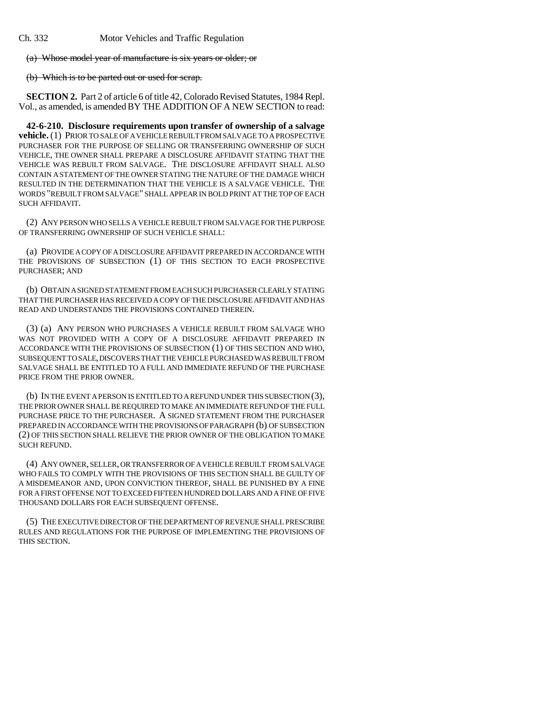Ch. 332 Motor Vehicles and Traffic Regulation

(a) Whose model year of manufacture is six years or older; or

(b) Which is to be parted out or used for scrap.

**SECTION 2.** Part 2 of article 6 of title 42, Colorado Revised Statutes, 1984 Repl. Vol., as amended, is amended BY THE ADDITION OF A NEW SECTION to read:

**42-6-210. Disclosure requirements upon transfer of ownership of a salvage vehicle.** (1) PRIOR TO SALE OF A VEHICLE REBUILT FROM SALVAGE TO A PROSPECTIVE PURCHASER FOR THE PURPOSE OF SELLING OR TRANSFERRING OWNERSHIP OF SUCH VEHICLE, THE OWNER SHALL PREPARE A DISCLOSURE AFFIDAVIT STATING THAT THE VEHICLE WAS REBUILT FROM SALVAGE. THE DISCLOSURE AFFIDAVIT SHALL ALSO CONTAIN A STATEMENT OF THE OWNER STATING THE NATURE OF THE DAMAGE WHICH RESULTED IN THE DETERMINATION THAT THE VEHICLE IS A SALVAGE VEHICLE. THE WORDS "REBUILT FROM SALVAGE" SHALL APPEAR IN BOLD PRINT AT THE TOP OF EACH SUCH AFFIDAVIT.

(2) ANY PERSON WHO SELLS A VEHICLE REBUILT FROM SALVAGE FOR THE PURPOSE OF TRANSFERRING OWNERSHIP OF SUCH VEHICLE SHALL:

(a) PROVIDE A COPY OF A DISCLOSURE AFFIDAVIT PREPARED IN ACCORDANCE WITH THE PROVISIONS OF SUBSECTION (1) OF THIS SECTION TO EACH PROSPECTIVE PURCHASER; AND

(b) OBTAIN A SIGNED STATEMENT FROM EACH SUCH PURCHASER CLEARLY STATING THAT THE PURCHASER HAS RECEIVED A COPY OF THE DISCLOSURE AFFIDAVIT AND HAS READ AND UNDERSTANDS THE PROVISIONS CONTAINED THEREIN.

(3) (a) ANY PERSON WHO PURCHASES A VEHICLE REBUILT FROM SALVAGE WHO WAS NOT PROVIDED WITH A COPY OF A DISCLOSURE AFFIDAVIT PREPARED IN ACCORDANCE WITH THE PROVISIONS OF SUBSECTION (1) OF THIS SECTION AND WHO, SUBSEQUENT TO SALE, DISCOVERS THAT THE VEHICLE PURCHASED WAS REBUILT FROM SALVAGE SHALL BE ENTITLED TO A FULL AND IMMEDIATE REFUND OF THE PURCHASE PRICE FROM THE PRIOR OWNER.

(b) IN THE EVENT A PERSON IS ENTITLED TO A REFUND UNDER THIS SUBSECTION (3), THE PRIOR OWNER SHALL BE REQUIRED TO MAKE AN IMMEDIATE REFUND OF THE FULL PURCHASE PRICE TO THE PURCHASER. A SIGNED STATEMENT FROM THE PURCHASER PREPARED IN ACCORDANCE WITH THE PROVISIONS OF PARAGRAPH (b) OF SUBSECTION (2) OF THIS SECTION SHALL RELIEVE THE PRIOR OWNER OF THE OBLIGATION TO MAKE SUCH REFUND.

(4) ANY OWNER, SELLER, OR TRANSFERROR OF A VEHICLE REBUILT FROM SALVAGE WHO FAILS TO COMPLY WITH THE PROVISIONS OF THIS SECTION SHALL BE GUILTY OF A MISDEMEANOR AND, UPON CONVICTION THEREOF, SHALL BE PUNISHED BY A FINE FOR A FIRST OFFENSE NOT TO EXCEED FIFTEEN HUNDRED DOLLARS AND A FINE OF FIVE THOUSAND DOLLARS FOR EACH SUBSEQUENT OFFENSE.

(5) THE EXECUTIVE DIRECTOR OF THE DEPARTMENT OF REVENUE SHALL PRESCRIBE RULES AND REGULATIONS FOR THE PURPOSE OF IMPLEMENTING THE PROVISIONS OF THIS SECTION.